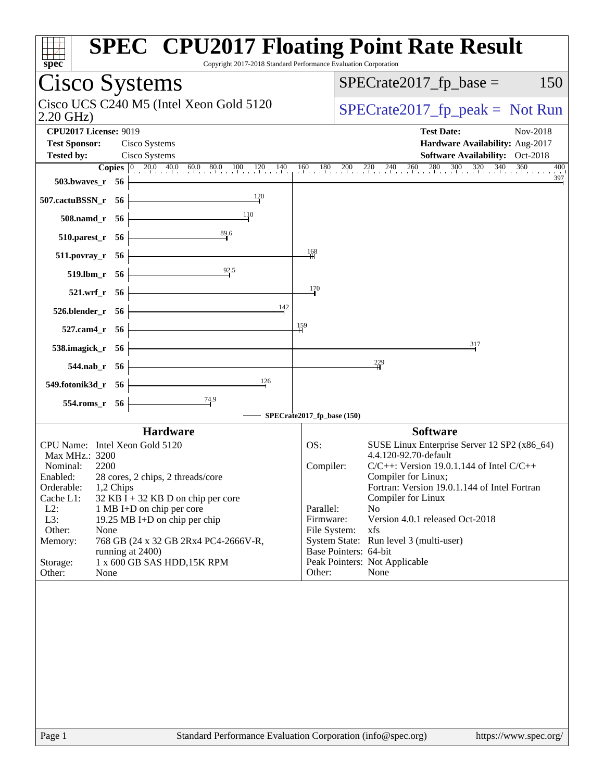| $spec^*$                       | Copyright 2017-2018 Standard Performance Evaluation Corporation |                            | <b>SPEC<sup>®</sup> CPU2017 Floating Point Rate Result</b>                                                                                                             |
|--------------------------------|-----------------------------------------------------------------|----------------------------|------------------------------------------------------------------------------------------------------------------------------------------------------------------------|
| <b>Cisco Systems</b>           |                                                                 |                            | $SPECrate2017_fp\_base =$<br>150                                                                                                                                       |
| 2.20 GHz)                      | Cisco UCS C240 M5 (Intel Xeon Gold 5120                         |                            | $SPECTate2017_fp\_peak = Not Run$                                                                                                                                      |
| <b>CPU2017 License: 9019</b>   |                                                                 |                            | <b>Test Date:</b><br>Nov-2018                                                                                                                                          |
| <b>Test Sponsor:</b>           | Cisco Systems                                                   |                            | Hardware Availability: Aug-2017                                                                                                                                        |
| <b>Tested by:</b>              | Cisco Systems                                                   |                            | Software Availability: Oct-2018                                                                                                                                        |
|                                |                                                                 |                            | <b>Copies</b> $\begin{bmatrix} 0 & 20.0 & 40.0 & 60.0 & 80.0 & 100 & 120 & 140 & 160 & 180 & 200 & 220 & 240 & 260 & 280 & 300 & 320 & 340 & 360 \end{bmatrix}$<br>400 |
| 503.bwaves_r 56                |                                                                 |                            | 397                                                                                                                                                                    |
| 507.cactuBSSN_r 56             | 120                                                             |                            |                                                                                                                                                                        |
| 508.namd_r 56                  | <sup>110</sup>                                                  |                            |                                                                                                                                                                        |
| 510.parest_r 56                | 89.6                                                            |                            |                                                                                                                                                                        |
| $511. povray_r 56$             |                                                                 | 168                        |                                                                                                                                                                        |
| 519.lbm_r 56                   | 92.5                                                            |                            |                                                                                                                                                                        |
| 521.wrf_r 56                   |                                                                 | 170                        |                                                                                                                                                                        |
| 526.blender_r 56               | 142                                                             |                            |                                                                                                                                                                        |
| 527.cam4_r 56                  |                                                                 | 159                        |                                                                                                                                                                        |
| 538.imagick_r 56               |                                                                 |                            | 317                                                                                                                                                                    |
| $544$ .nab $r$ 56              |                                                                 |                            | $\frac{229}{4}$                                                                                                                                                        |
| 549.fotonik3d_r 56             | $\frac{126}{5}$                                                 |                            |                                                                                                                                                                        |
| 554.roms_r 56                  | $\frac{74.9}{4}$                                                |                            |                                                                                                                                                                        |
|                                |                                                                 | SPECrate2017_fp_base (150) |                                                                                                                                                                        |
|                                | <b>Hardware</b>                                                 |                            | <b>Software</b>                                                                                                                                                        |
| CPU Name: Intel Xeon Gold 5120 |                                                                 | OS:                        | SUSE Linux Enterprise Server 12 SP2 (x86_64)                                                                                                                           |
| Max MHz.: 3200                 |                                                                 |                            | 4.4.120-92.70-default                                                                                                                                                  |
| Nominal:<br>2200<br>Enabled:   | 28 cores, 2 chips, 2 threads/core                               | Compiler:                  | $C/C++$ : Version 19.0.1.144 of Intel $C/C++$<br>Compiler for Linux;                                                                                                   |
| Orderable:<br>1,2 Chips        |                                                                 |                            | Fortran: Version 19.0.1.144 of Intel Fortran                                                                                                                           |
| Cache L1:                      | $32$ KB I + 32 KB D on chip per core                            |                            | Compiler for Linux                                                                                                                                                     |
| $L2$ :                         | 1 MB I+D on chip per core                                       | Parallel:                  | N <sub>0</sub>                                                                                                                                                         |
| L3:                            | 19.25 MB I+D on chip per chip                                   | Firmware:                  | Version 4.0.1 released Oct-2018                                                                                                                                        |
| Other:<br>None                 |                                                                 | File System:               | xfs                                                                                                                                                                    |
| Memory:                        | 768 GB (24 x 32 GB 2Rx4 PC4-2666V-R,                            | Base Pointers: 64-bit      | System State: Run level 3 (multi-user)                                                                                                                                 |
| running at 2400)<br>Storage:   | 1 x 600 GB SAS HDD, 15K RPM                                     |                            | Peak Pointers: Not Applicable                                                                                                                                          |
| Other:<br>None                 |                                                                 | Other:                     | None                                                                                                                                                                   |
|                                |                                                                 |                            |                                                                                                                                                                        |
| Page 1                         | Standard Performance Evaluation Corporation (info@spec.org)     |                            | https://www.spec.org/                                                                                                                                                  |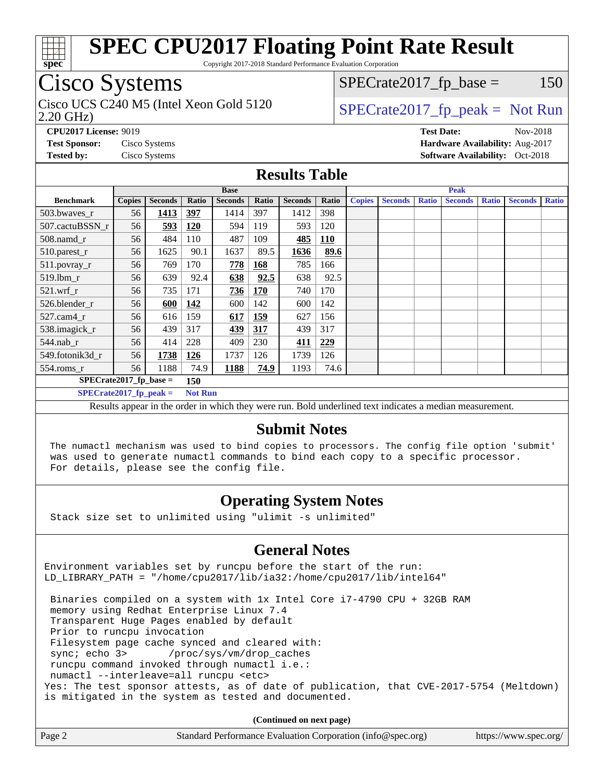

Copyright 2017-2018 Standard Performance Evaluation Corporation

## Cisco Systems

2.20 GHz) Cisco UCS C240 M5 (Intel Xeon Gold 5120  $\vert$  [SPECrate2017\\_fp\\_peak =](http://www.spec.org/auto/cpu2017/Docs/result-fields.html#SPECrate2017fppeak) Not Run

 $SPECTate2017<sub>fr</sub> base = 150$ 

**[CPU2017 License:](http://www.spec.org/auto/cpu2017/Docs/result-fields.html#CPU2017License)** 9019 **[Test Date:](http://www.spec.org/auto/cpu2017/Docs/result-fields.html#TestDate)** Nov-2018 **[Test Sponsor:](http://www.spec.org/auto/cpu2017/Docs/result-fields.html#TestSponsor)** Cisco Systems **[Hardware Availability:](http://www.spec.org/auto/cpu2017/Docs/result-fields.html#HardwareAvailability)** Aug-2017 **[Tested by:](http://www.spec.org/auto/cpu2017/Docs/result-fields.html#Testedby)** Cisco Systems **[Software Availability:](http://www.spec.org/auto/cpu2017/Docs/result-fields.html#SoftwareAvailability)** Oct-2018

#### **[Results Table](http://www.spec.org/auto/cpu2017/Docs/result-fields.html#ResultsTable)**

|                                  | <b>Base</b>   |                |                |                |            | <b>Peak</b>    |            |               |                |              |                |              |                |              |
|----------------------------------|---------------|----------------|----------------|----------------|------------|----------------|------------|---------------|----------------|--------------|----------------|--------------|----------------|--------------|
| <b>Benchmark</b>                 | <b>Copies</b> | <b>Seconds</b> | Ratio          | <b>Seconds</b> | Ratio      | <b>Seconds</b> | Ratio      | <b>Copies</b> | <b>Seconds</b> | <b>Ratio</b> | <b>Seconds</b> | <b>Ratio</b> | <b>Seconds</b> | <b>Ratio</b> |
| 503.bwayes_r                     | 56            | 1413           | 397            | 1414           | 397        | 1412           | 398        |               |                |              |                |              |                |              |
| 507.cactuBSSN r                  | 56            | 593            | 120            | 594            | 119        | 593            | 120        |               |                |              |                |              |                |              |
| $508$ .namd $r$                  | 56            | 484            | 110            | 487            | 109        | 485            | <b>110</b> |               |                |              |                |              |                |              |
| 510.parest_r                     | 56            | 1625           | 90.1           | 1637           | 89.5       | 1636           | 89.6       |               |                |              |                |              |                |              |
| $511. povray_r$                  | 56            | 769            | 170            | 778            | 168        | 785            | 166        |               |                |              |                |              |                |              |
| 519.lbm_r                        | 56            | 639            | 92.4           | 638            | 92.5       | 638            | 92.5       |               |                |              |                |              |                |              |
| $521$ .wrf r                     | 56            | 735            | 171            | 736            | <b>170</b> | 740            | 170        |               |                |              |                |              |                |              |
| 526.blender_r                    | 56            | 600            | 142            | 600            | 142        | 600            | 142        |               |                |              |                |              |                |              |
| 527.cam4 r                       | 56            | 616            | 159            | 617            | <b>159</b> | 627            | 156        |               |                |              |                |              |                |              |
| 538.imagick_r                    | 56            | 439            | 317            | 439            | 317        | 439            | 317        |               |                |              |                |              |                |              |
| 544.nab r                        | 56            | 414            | 228            | 409            | 230        | 411            | 229        |               |                |              |                |              |                |              |
| 549.fotonik3d r                  | 56            | 1738           | <u>126</u>     | 1737           | 126        | 1739           | 126        |               |                |              |                |              |                |              |
| $554$ .roms_r                    | 56            | 1188           | 74.9           | 1188           | 74.9       | 1193           | 74.6       |               |                |              |                |              |                |              |
| $SPECrate2017_fp\_base =$<br>150 |               |                |                |                |            |                |            |               |                |              |                |              |                |              |
| $SPECrate2017$ fp peak =         |               |                | <b>Not Run</b> |                |            |                |            |               |                |              |                |              |                |              |

Results appear in the [order in which they were run.](http://www.spec.org/auto/cpu2017/Docs/result-fields.html#RunOrder) Bold underlined text [indicates a median measurement.](http://www.spec.org/auto/cpu2017/Docs/result-fields.html#Median)

#### **[Submit Notes](http://www.spec.org/auto/cpu2017/Docs/result-fields.html#SubmitNotes)**

 The numactl mechanism was used to bind copies to processors. The config file option 'submit' was used to generate numactl commands to bind each copy to a specific processor. For details, please see the config file.

### **[Operating System Notes](http://www.spec.org/auto/cpu2017/Docs/result-fields.html#OperatingSystemNotes)**

Stack size set to unlimited using "ulimit -s unlimited"

### **[General Notes](http://www.spec.org/auto/cpu2017/Docs/result-fields.html#GeneralNotes)**

Environment variables set by runcpu before the start of the run: LD\_LIBRARY\_PATH = "/home/cpu2017/lib/ia32:/home/cpu2017/lib/intel64"

 Binaries compiled on a system with 1x Intel Core i7-4790 CPU + 32GB RAM memory using Redhat Enterprise Linux 7.4 Transparent Huge Pages enabled by default Prior to runcpu invocation Filesystem page cache synced and cleared with: sync; echo 3> /proc/sys/vm/drop\_caches runcpu command invoked through numactl i.e.: numactl --interleave=all runcpu <etc> Yes: The test sponsor attests, as of date of publication, that CVE-2017-5754 (Meltdown) is mitigated in the system as tested and documented.

**(Continued on next page)**

| Page 2<br>Standard Performance Evaluation Corporation (info@spec.org) | https://www.spec.org/ |
|-----------------------------------------------------------------------|-----------------------|
|-----------------------------------------------------------------------|-----------------------|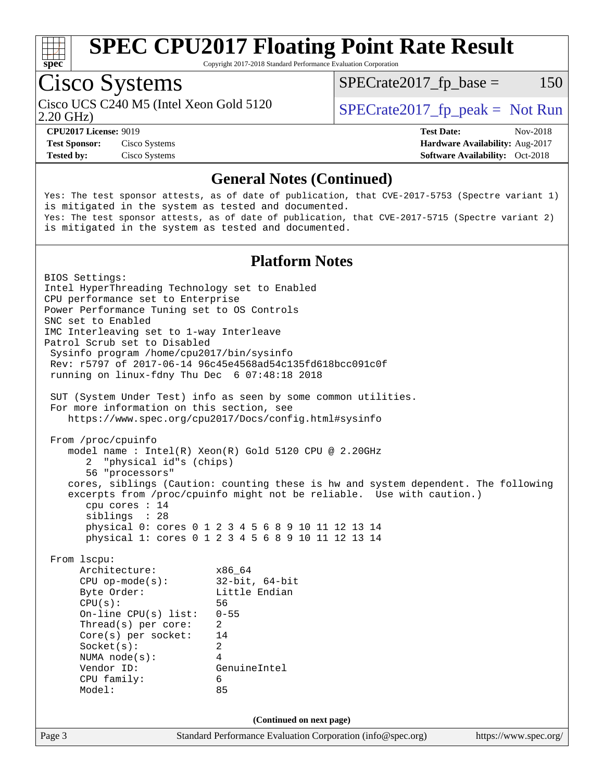

Copyright 2017-2018 Standard Performance Evaluation Corporation

## Cisco Systems

2.20 GHz) Cisco UCS C240 M5 (Intel Xeon Gold 5120  $\vert$  [SPECrate2017\\_fp\\_peak =](http://www.spec.org/auto/cpu2017/Docs/result-fields.html#SPECrate2017fppeak) Not Run

 $SPECTate2017<sub>fr</sub> base = 150$ 

**[Test Sponsor:](http://www.spec.org/auto/cpu2017/Docs/result-fields.html#TestSponsor)** Cisco Systems **[Hardware Availability:](http://www.spec.org/auto/cpu2017/Docs/result-fields.html#HardwareAvailability)** Aug-2017

**[CPU2017 License:](http://www.spec.org/auto/cpu2017/Docs/result-fields.html#CPU2017License)** 9019 **[Test Date:](http://www.spec.org/auto/cpu2017/Docs/result-fields.html#TestDate)** Nov-2018 **[Tested by:](http://www.spec.org/auto/cpu2017/Docs/result-fields.html#Testedby)** Cisco Systems **[Software Availability:](http://www.spec.org/auto/cpu2017/Docs/result-fields.html#SoftwareAvailability)** Oct-2018

### **[General Notes \(Continued\)](http://www.spec.org/auto/cpu2017/Docs/result-fields.html#GeneralNotes)**

Yes: The test sponsor attests, as of date of publication, that CVE-2017-5753 (Spectre variant 1) is mitigated in the system as tested and documented. Yes: The test sponsor attests, as of date of publication, that CVE-2017-5715 (Spectre variant 2) is mitigated in the system as tested and documented.

#### **[Platform Notes](http://www.spec.org/auto/cpu2017/Docs/result-fields.html#PlatformNotes)**

Page 3 Standard Performance Evaluation Corporation [\(info@spec.org\)](mailto:info@spec.org) <https://www.spec.org/> BIOS Settings: Intel HyperThreading Technology set to Enabled CPU performance set to Enterprise Power Performance Tuning set to OS Controls SNC set to Enabled IMC Interleaving set to 1-way Interleave Patrol Scrub set to Disabled Sysinfo program /home/cpu2017/bin/sysinfo Rev: r5797 of 2017-06-14 96c45e4568ad54c135fd618bcc091c0f running on linux-fdny Thu Dec 6 07:48:18 2018 SUT (System Under Test) info as seen by some common utilities. For more information on this section, see <https://www.spec.org/cpu2017/Docs/config.html#sysinfo> From /proc/cpuinfo model name : Intel(R) Xeon(R) Gold 5120 CPU @ 2.20GHz 2 "physical id"s (chips) 56 "processors" cores, siblings (Caution: counting these is hw and system dependent. The following excerpts from /proc/cpuinfo might not be reliable. Use with caution.) cpu cores : 14 siblings : 28 physical 0: cores 0 1 2 3 4 5 6 8 9 10 11 12 13 14 physical 1: cores 0 1 2 3 4 5 6 8 9 10 11 12 13 14 From lscpu: Architecture: x86\_64 CPU op-mode(s): 32-bit, 64-bit Byte Order: Little Endian CPU(s): 56 On-line CPU(s) list: 0-55 Thread(s) per core: 2 Core(s) per socket: 14 Socket(s): 2 NUMA node(s): 4 Vendor ID: GenuineIntel CPU family: 6 Model: 85 **(Continued on next page)**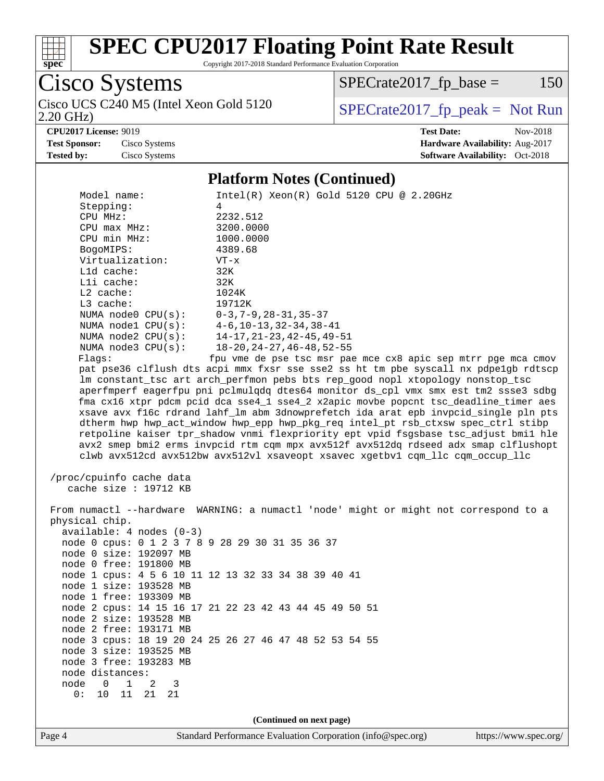

Copyright 2017-2018 Standard Performance Evaluation Corporation

Cisco Systems<br>Cisco UCS C240 M5 (Intel Xeon Gold 5120

2.20 GHz)

 $SPECrate2017_fp\_base = 150$ 

### $SPECTate 2017_fp\_peak = Not Run$

**[CPU2017 License:](http://www.spec.org/auto/cpu2017/Docs/result-fields.html#CPU2017License)** 9019 **[Test Date:](http://www.spec.org/auto/cpu2017/Docs/result-fields.html#TestDate)** Nov-2018 **[Test Sponsor:](http://www.spec.org/auto/cpu2017/Docs/result-fields.html#TestSponsor)** Cisco Systems **[Hardware Availability:](http://www.spec.org/auto/cpu2017/Docs/result-fields.html#HardwareAvailability)** Aug-2017 **[Tested by:](http://www.spec.org/auto/cpu2017/Docs/result-fields.html#Testedby)** Cisco Systems **[Software Availability:](http://www.spec.org/auto/cpu2017/Docs/result-fields.html#SoftwareAvailability)** Oct-2018

#### **[Platform Notes \(Continued\)](http://www.spec.org/auto/cpu2017/Docs/result-fields.html#PlatformNotes)**

| Model name:                                     | $Intel(R)$ Xeon $(R)$ Gold 5120 CPU @ 2.20GHz                                                                                                                           |
|-------------------------------------------------|-------------------------------------------------------------------------------------------------------------------------------------------------------------------------|
| Stepping:                                       | 4                                                                                                                                                                       |
| CPU MHz:                                        | 2232.512                                                                                                                                                                |
| $CPU$ $max$ $MHz$ :                             | 3200.0000                                                                                                                                                               |
| CPU min MHz:                                    | 1000.0000                                                                                                                                                               |
| BogoMIPS:                                       | 4389.68                                                                                                                                                                 |
| Virtualization:                                 | $VT - x$                                                                                                                                                                |
| L1d cache:                                      | 32K                                                                                                                                                                     |
| Lli cache:<br>$L2$ cache:                       | 32K<br>1024K                                                                                                                                                            |
| L3 cache:                                       | 19712K                                                                                                                                                                  |
| NUMA node0 CPU(s): 0-3,7-9,28-31,35-37          |                                                                                                                                                                         |
| NUMA nodel CPU(s):                              | $4-6, 10-13, 32-34, 38-41$                                                                                                                                              |
| NUMA $node2$ $CPU(s):$                          | 14-17,21-23,42-45,49-51                                                                                                                                                 |
| NUMA $node3$ $CPU(s):$                          | $18 - 20$ , $24 - 27$ , $46 - 48$ , $52 - 55$                                                                                                                           |
| Flagg:                                          | fpu vme de pse tsc msr pae mce cx8 apic sep mtrr pge mca cmov                                                                                                           |
|                                                 | pat pse36 clflush dts acpi mmx fxsr sse sse2 ss ht tm pbe syscall nx pdpelgb rdtscp                                                                                     |
|                                                 | lm constant_tsc art arch_perfmon pebs bts rep_good nopl xtopology nonstop_tsc                                                                                           |
|                                                 | aperfmperf eagerfpu pni pclmulqdq dtes64 monitor ds_cpl vmx smx est tm2 ssse3 sdbg                                                                                      |
|                                                 | fma cx16 xtpr pdcm pcid dca sse4_1 sse4_2 x2apic movbe popcnt tsc_deadline_timer aes                                                                                    |
|                                                 | xsave avx f16c rdrand lahf_lm abm 3dnowprefetch ida arat epb invpcid_single pln pts                                                                                     |
|                                                 | dtherm hwp hwp_act_window hwp_epp hwp_pkg_req intel_pt rsb_ctxsw spec_ctrl stibp<br>retpoline kaiser tpr_shadow vnmi flexpriority ept vpid fsgsbase tsc_adjust bmil hle |
|                                                 | avx2 smep bmi2 erms invpcid rtm cqm mpx avx512f avx512dq rdseed adx smap clflushopt                                                                                     |
|                                                 | clwb avx512cd avx512bw avx512vl xsaveopt xsavec xgetbvl cqm_llc cqm_occup_llc                                                                                           |
|                                                 |                                                                                                                                                                         |
| /proc/cpuinfo cache data                        |                                                                                                                                                                         |
| cache size $: 19712$ KB                         |                                                                                                                                                                         |
|                                                 |                                                                                                                                                                         |
|                                                 | From numactl --hardware WARNING: a numactl 'node' might or might not correspond to a                                                                                    |
| physical chip.                                  |                                                                                                                                                                         |
| $available: 4 nodes (0-3)$                      |                                                                                                                                                                         |
| node 0 cpus: 0 1 2 3 7 8 9 28 29 30 31 35 36 37 |                                                                                                                                                                         |
| node 0 size: 192097 MB                          |                                                                                                                                                                         |
| node 0 free: 191800 MB                          |                                                                                                                                                                         |
|                                                 | node 1 cpus: 4 5 6 10 11 12 13 32 33 34 38 39 40 41                                                                                                                     |
| node 1 size: 193528 MB                          |                                                                                                                                                                         |
| node 1 free: 193309 MB                          |                                                                                                                                                                         |
|                                                 | node 2 cpus: 14 15 16 17 21 22 23 42 43 44 45 49 50 51                                                                                                                  |
| node 2 size: 193528 MB                          |                                                                                                                                                                         |
| node 2 free: 193171 MB                          |                                                                                                                                                                         |
|                                                 | node 3 cpus: 18 19 20 24 25 26 27 46 47 48 52 53 54 55                                                                                                                  |
| node 3 size: 193525 MB                          |                                                                                                                                                                         |
| node 3 free: 193283 MB                          |                                                                                                                                                                         |
| node distances:                                 |                                                                                                                                                                         |
| node<br>$\mathsf{O}$<br>$\mathbf{1}$<br>2<br>3  |                                                                                                                                                                         |
| 10<br>11<br>0:<br>21<br>21                      |                                                                                                                                                                         |
|                                                 |                                                                                                                                                                         |
|                                                 | (Continued on next page)                                                                                                                                                |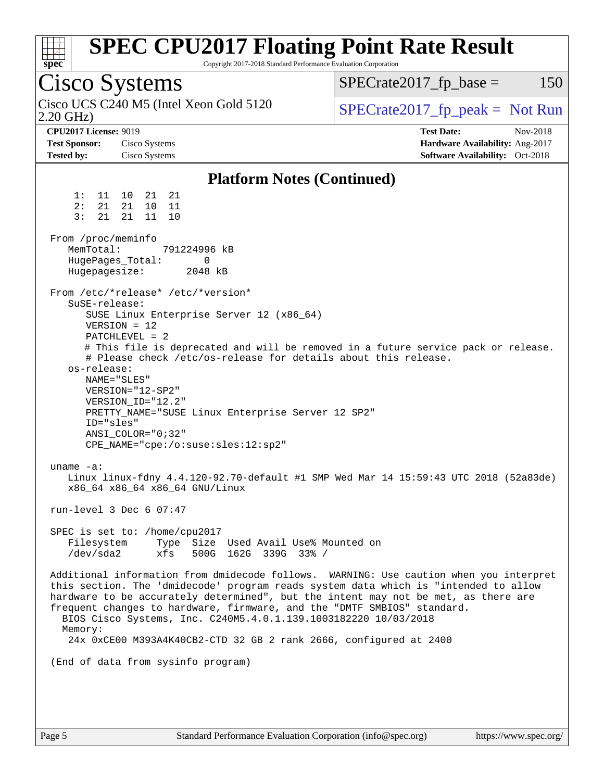|                                                                           | Cisco Systems                                                                                                                                                                                                                                                                                                                                                       | $SPECrate2017_fp\_base =$<br>150                                                                                                                                                                                                                                    |
|---------------------------------------------------------------------------|---------------------------------------------------------------------------------------------------------------------------------------------------------------------------------------------------------------------------------------------------------------------------------------------------------------------------------------------------------------------|---------------------------------------------------------------------------------------------------------------------------------------------------------------------------------------------------------------------------------------------------------------------|
| $2.20$ GHz)                                                               | Cisco UCS C240 M5 (Intel Xeon Gold 5120                                                                                                                                                                                                                                                                                                                             | $SPECrate2017fr peak = Not Run$                                                                                                                                                                                                                                     |
| <b>CPU2017 License: 9019</b><br><b>Test Sponsor:</b><br><b>Tested by:</b> | Cisco Systems<br>Cisco Systems                                                                                                                                                                                                                                                                                                                                      | <b>Test Date:</b><br>Nov-2018<br>Hardware Availability: Aug-2017<br><b>Software Availability:</b> Oct-2018                                                                                                                                                          |
|                                                                           | <b>Platform Notes (Continued)</b>                                                                                                                                                                                                                                                                                                                                   |                                                                                                                                                                                                                                                                     |
| 1:<br>2:<br>21<br>3:<br>21<br>From /proc/meminfo<br>MemTotal:             | 21<br>11 10 21<br>21<br>10<br>11<br>21<br>11<br>10<br>791224996 kB<br>HugePages_Total:<br>0                                                                                                                                                                                                                                                                         |                                                                                                                                                                                                                                                                     |
| Hugepagesize:                                                             | 2048 kB                                                                                                                                                                                                                                                                                                                                                             |                                                                                                                                                                                                                                                                     |
| SuSE-release:<br>os-release:<br>ID="sles"<br>uname $-a$ :                 | From /etc/*release* /etc/*version*<br>SUSE Linux Enterprise Server 12 (x86_64)<br>$VERSION = 12$<br>PATCHLEVEL = 2<br># Please check /etc/os-release for details about this release.<br>NAME="SLES"<br>VERSION="12-SP2"<br>VERSION_ID="12.2"<br>PRETTY_NAME="SUSE Linux Enterprise Server 12 SP2"<br>$ANSI$ _COLOR=" $0:32$ "<br>CPE_NAME="cpe:/o:suse:sles:12:sp2" | # This file is deprecated and will be removed in a future service pack or release.                                                                                                                                                                                  |
|                                                                           | x86_64 x86_64 x86_64 GNU/Linux                                                                                                                                                                                                                                                                                                                                      | Linux linux-fdny 4.4.120-92.70-default #1 SMP Wed Mar 14 15:59:43 UTC 2018 (52a83de)                                                                                                                                                                                |
|                                                                           | run-level $3$ Dec $6$ 07:47                                                                                                                                                                                                                                                                                                                                         |                                                                                                                                                                                                                                                                     |
| Filesystem<br>/dev/sda2                                                   | SPEC is set to: /home/cpu2017<br>Type Size Used Avail Use% Mounted on<br>xfs<br>500G 162G 339G 33% /                                                                                                                                                                                                                                                                |                                                                                                                                                                                                                                                                     |
| Memory:                                                                   | frequent changes to hardware, firmware, and the "DMTF SMBIOS" standard.<br>BIOS Cisco Systems, Inc. C240M5.4.0.1.139.1003182220 10/03/2018                                                                                                                                                                                                                          | Additional information from dmidecode follows. WARNING: Use caution when you interpret<br>this section. The 'dmidecode' program reads system data which is "intended to allow<br>hardware to be accurately determined", but the intent may not be met, as there are |
|                                                                           | 24x 0xCE00 M393A4K40CB2-CTD 32 GB 2 rank 2666, configured at 2400                                                                                                                                                                                                                                                                                                   |                                                                                                                                                                                                                                                                     |
|                                                                           | (End of data from sysinfo program)                                                                                                                                                                                                                                                                                                                                  |                                                                                                                                                                                                                                                                     |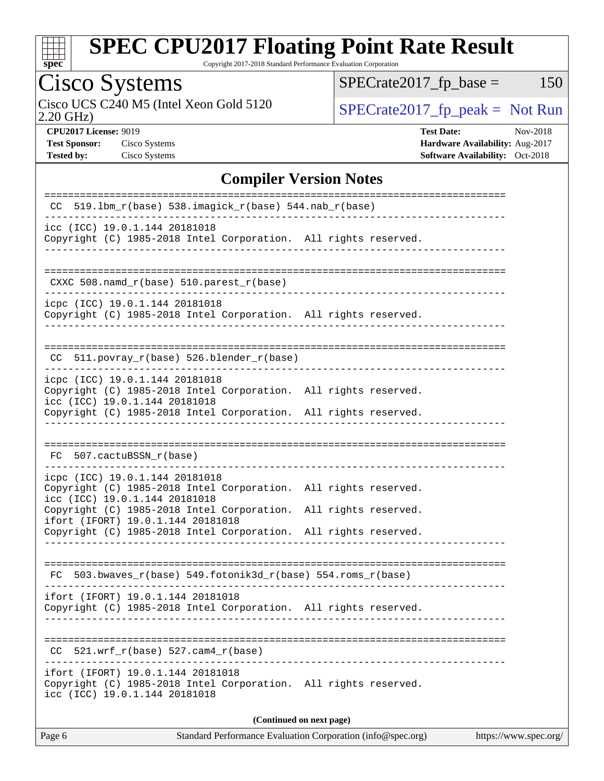

Copyright 2017-2018 Standard Performance Evaluation Corporation

# Cisco Systems

Cisco UCS C240 M5 (Intel Xeon Gold 5120  $SPECrate2017_fp\_peak = Not Run$ 

 $SPECTate2017_fp\_base = 150$ 

2.20 GHz)

**[CPU2017 License:](http://www.spec.org/auto/cpu2017/Docs/result-fields.html#CPU2017License)** 9019 **[Test Date:](http://www.spec.org/auto/cpu2017/Docs/result-fields.html#TestDate)** Nov-2018 **[Test Sponsor:](http://www.spec.org/auto/cpu2017/Docs/result-fields.html#TestSponsor)** Cisco Systems **[Hardware Availability:](http://www.spec.org/auto/cpu2017/Docs/result-fields.html#HardwareAvailability)** Aug-2017 **[Tested by:](http://www.spec.org/auto/cpu2017/Docs/result-fields.html#Testedby)** Cisco Systems **[Software Availability:](http://www.spec.org/auto/cpu2017/Docs/result-fields.html#SoftwareAvailability)** Oct-2018

### **[Compiler Version Notes](http://www.spec.org/auto/cpu2017/Docs/result-fields.html#CompilerVersionNotes)**

| $CC$ 519.1bm_ $r$ (base) 538.imagick_ $r$ (base) 544.nab_ $r$ (base)                                                                                                    |  |  |  |  |  |
|-------------------------------------------------------------------------------------------------------------------------------------------------------------------------|--|--|--|--|--|
| icc (ICC) 19.0.1.144 20181018<br>Copyright (C) 1985-2018 Intel Corporation. All rights reserved.                                                                        |  |  |  |  |  |
| $CXXC 508.namd_r(base) 510.parest_r(base)$                                                                                                                              |  |  |  |  |  |
| icpc (ICC) 19.0.1.144 20181018<br>Copyright (C) 1985-2018 Intel Corporation. All rights reserved.                                                                       |  |  |  |  |  |
| CC 511.povray_r(base) 526.blender_r(base)                                                                                                                               |  |  |  |  |  |
| icpc (ICC) 19.0.1.144 20181018<br>Copyright (C) 1985-2018 Intel Corporation. All rights reserved.<br>icc (ICC) 19.0.1.144 20181018                                      |  |  |  |  |  |
| Copyright (C) 1985-2018 Intel Corporation. All rights reserved.                                                                                                         |  |  |  |  |  |
| FC 507.cactuBSSN_r(base)                                                                                                                                                |  |  |  |  |  |
| icpc (ICC) 19.0.1.144 20181018<br>Copyright (C) 1985-2018 Intel Corporation. All rights reserved.<br>icc (ICC) 19.0.1.144 20181018                                      |  |  |  |  |  |
| Copyright (C) 1985-2018 Intel Corporation. All rights reserved.<br>ifort (IFORT) 19.0.1.144 20181018<br>Copyright (C) 1985-2018 Intel Corporation. All rights reserved. |  |  |  |  |  |
| 503.bwaves_r(base) 549.fotonik3d_r(base) 554.roms_r(base)<br>FC                                                                                                         |  |  |  |  |  |
| ifort (IFORT) 19.0.1.144 20181018<br>Copyright (C) 1985-2018 Intel Corporation. All rights reserved.                                                                    |  |  |  |  |  |
| 521.wrf_r(base) 527.cam4_r(base)                                                                                                                                        |  |  |  |  |  |
| ifort (IFORT) 19.0.1.144 20181018<br>Copyright (C) 1985-2018 Intel Corporation. All rights reserved.<br>icc (ICC) 19.0.1.144 20181018                                   |  |  |  |  |  |
| (Continued on next page)                                                                                                                                                |  |  |  |  |  |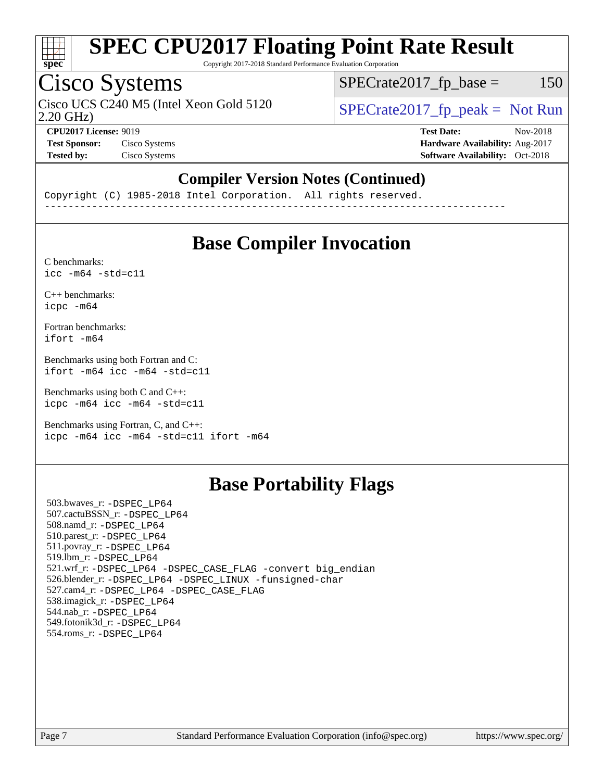

Copyright 2017-2018 Standard Performance Evaluation Corporation

### Cisco Systems

Cisco UCS C240 M5 (Intel Xeon Gold 5120  $\vert$  [SPECrate2017\\_fp\\_peak =](http://www.spec.org/auto/cpu2017/Docs/result-fields.html#SPECrate2017fppeak) Not Run

 $SPECTate2017<sub>fr</sub> base = 150$ 

2.20 GHz)

**[CPU2017 License:](http://www.spec.org/auto/cpu2017/Docs/result-fields.html#CPU2017License)** 9019 **[Test Date:](http://www.spec.org/auto/cpu2017/Docs/result-fields.html#TestDate)** Nov-2018 **[Test Sponsor:](http://www.spec.org/auto/cpu2017/Docs/result-fields.html#TestSponsor)** Cisco Systems **[Hardware Availability:](http://www.spec.org/auto/cpu2017/Docs/result-fields.html#HardwareAvailability)** Aug-2017 **[Tested by:](http://www.spec.org/auto/cpu2017/Docs/result-fields.html#Testedby)** Cisco Systems **[Software Availability:](http://www.spec.org/auto/cpu2017/Docs/result-fields.html#SoftwareAvailability)** Oct-2018

### **[Compiler Version Notes \(Continued\)](http://www.spec.org/auto/cpu2017/Docs/result-fields.html#CompilerVersionNotes)**

Copyright (C) 1985-2018 Intel Corporation. All rights reserved. ------------------------------------------------------------------------------

### **[Base Compiler Invocation](http://www.spec.org/auto/cpu2017/Docs/result-fields.html#BaseCompilerInvocation)**

[C benchmarks](http://www.spec.org/auto/cpu2017/Docs/result-fields.html#Cbenchmarks):  $\text{icc}$  -m64 -std=c11

[C++ benchmarks:](http://www.spec.org/auto/cpu2017/Docs/result-fields.html#CXXbenchmarks) [icpc -m64](http://www.spec.org/cpu2017/results/res2018q4/cpu2017-20181211-10266.flags.html#user_CXXbase_intel_icpc_64bit_4ecb2543ae3f1412ef961e0650ca070fec7b7afdcd6ed48761b84423119d1bf6bdf5cad15b44d48e7256388bc77273b966e5eb805aefd121eb22e9299b2ec9d9)

[Fortran benchmarks](http://www.spec.org/auto/cpu2017/Docs/result-fields.html#Fortranbenchmarks): [ifort -m64](http://www.spec.org/cpu2017/results/res2018q4/cpu2017-20181211-10266.flags.html#user_FCbase_intel_ifort_64bit_24f2bb282fbaeffd6157abe4f878425411749daecae9a33200eee2bee2fe76f3b89351d69a8130dd5949958ce389cf37ff59a95e7a40d588e8d3a57e0c3fd751)

[Benchmarks using both Fortran and C](http://www.spec.org/auto/cpu2017/Docs/result-fields.html#BenchmarksusingbothFortranandC): [ifort -m64](http://www.spec.org/cpu2017/results/res2018q4/cpu2017-20181211-10266.flags.html#user_CC_FCbase_intel_ifort_64bit_24f2bb282fbaeffd6157abe4f878425411749daecae9a33200eee2bee2fe76f3b89351d69a8130dd5949958ce389cf37ff59a95e7a40d588e8d3a57e0c3fd751) [icc -m64 -std=c11](http://www.spec.org/cpu2017/results/res2018q4/cpu2017-20181211-10266.flags.html#user_CC_FCbase_intel_icc_64bit_c11_33ee0cdaae7deeeab2a9725423ba97205ce30f63b9926c2519791662299b76a0318f32ddfffdc46587804de3178b4f9328c46fa7c2b0cd779d7a61945c91cd35)

[Benchmarks using both C and C++](http://www.spec.org/auto/cpu2017/Docs/result-fields.html#BenchmarksusingbothCandCXX): [icpc -m64](http://www.spec.org/cpu2017/results/res2018q4/cpu2017-20181211-10266.flags.html#user_CC_CXXbase_intel_icpc_64bit_4ecb2543ae3f1412ef961e0650ca070fec7b7afdcd6ed48761b84423119d1bf6bdf5cad15b44d48e7256388bc77273b966e5eb805aefd121eb22e9299b2ec9d9) [icc -m64 -std=c11](http://www.spec.org/cpu2017/results/res2018q4/cpu2017-20181211-10266.flags.html#user_CC_CXXbase_intel_icc_64bit_c11_33ee0cdaae7deeeab2a9725423ba97205ce30f63b9926c2519791662299b76a0318f32ddfffdc46587804de3178b4f9328c46fa7c2b0cd779d7a61945c91cd35)

[Benchmarks using Fortran, C, and C++:](http://www.spec.org/auto/cpu2017/Docs/result-fields.html#BenchmarksusingFortranCandCXX) [icpc -m64](http://www.spec.org/cpu2017/results/res2018q4/cpu2017-20181211-10266.flags.html#user_CC_CXX_FCbase_intel_icpc_64bit_4ecb2543ae3f1412ef961e0650ca070fec7b7afdcd6ed48761b84423119d1bf6bdf5cad15b44d48e7256388bc77273b966e5eb805aefd121eb22e9299b2ec9d9) [icc -m64 -std=c11](http://www.spec.org/cpu2017/results/res2018q4/cpu2017-20181211-10266.flags.html#user_CC_CXX_FCbase_intel_icc_64bit_c11_33ee0cdaae7deeeab2a9725423ba97205ce30f63b9926c2519791662299b76a0318f32ddfffdc46587804de3178b4f9328c46fa7c2b0cd779d7a61945c91cd35) [ifort -m64](http://www.spec.org/cpu2017/results/res2018q4/cpu2017-20181211-10266.flags.html#user_CC_CXX_FCbase_intel_ifort_64bit_24f2bb282fbaeffd6157abe4f878425411749daecae9a33200eee2bee2fe76f3b89351d69a8130dd5949958ce389cf37ff59a95e7a40d588e8d3a57e0c3fd751)

### **[Base Portability Flags](http://www.spec.org/auto/cpu2017/Docs/result-fields.html#BasePortabilityFlags)**

 503.bwaves\_r: [-DSPEC\\_LP64](http://www.spec.org/cpu2017/results/res2018q4/cpu2017-20181211-10266.flags.html#suite_basePORTABILITY503_bwaves_r_DSPEC_LP64) 507.cactuBSSN\_r: [-DSPEC\\_LP64](http://www.spec.org/cpu2017/results/res2018q4/cpu2017-20181211-10266.flags.html#suite_basePORTABILITY507_cactuBSSN_r_DSPEC_LP64) 508.namd\_r: [-DSPEC\\_LP64](http://www.spec.org/cpu2017/results/res2018q4/cpu2017-20181211-10266.flags.html#suite_basePORTABILITY508_namd_r_DSPEC_LP64) 510.parest\_r: [-DSPEC\\_LP64](http://www.spec.org/cpu2017/results/res2018q4/cpu2017-20181211-10266.flags.html#suite_basePORTABILITY510_parest_r_DSPEC_LP64) 511.povray\_r: [-DSPEC\\_LP64](http://www.spec.org/cpu2017/results/res2018q4/cpu2017-20181211-10266.flags.html#suite_basePORTABILITY511_povray_r_DSPEC_LP64) 519.lbm\_r: [-DSPEC\\_LP64](http://www.spec.org/cpu2017/results/res2018q4/cpu2017-20181211-10266.flags.html#suite_basePORTABILITY519_lbm_r_DSPEC_LP64) 521.wrf\_r: [-DSPEC\\_LP64](http://www.spec.org/cpu2017/results/res2018q4/cpu2017-20181211-10266.flags.html#suite_basePORTABILITY521_wrf_r_DSPEC_LP64) [-DSPEC\\_CASE\\_FLAG](http://www.spec.org/cpu2017/results/res2018q4/cpu2017-20181211-10266.flags.html#b521.wrf_r_baseCPORTABILITY_DSPEC_CASE_FLAG) [-convert big\\_endian](http://www.spec.org/cpu2017/results/res2018q4/cpu2017-20181211-10266.flags.html#user_baseFPORTABILITY521_wrf_r_convert_big_endian_c3194028bc08c63ac5d04de18c48ce6d347e4e562e8892b8bdbdc0214820426deb8554edfa529a3fb25a586e65a3d812c835984020483e7e73212c4d31a38223) 526.blender\_r: [-DSPEC\\_LP64](http://www.spec.org/cpu2017/results/res2018q4/cpu2017-20181211-10266.flags.html#suite_basePORTABILITY526_blender_r_DSPEC_LP64) [-DSPEC\\_LINUX](http://www.spec.org/cpu2017/results/res2018q4/cpu2017-20181211-10266.flags.html#b526.blender_r_baseCPORTABILITY_DSPEC_LINUX) [-funsigned-char](http://www.spec.org/cpu2017/results/res2018q4/cpu2017-20181211-10266.flags.html#user_baseCPORTABILITY526_blender_r_force_uchar_40c60f00ab013830e2dd6774aeded3ff59883ba5a1fc5fc14077f794d777847726e2a5858cbc7672e36e1b067e7e5c1d9a74f7176df07886a243d7cc18edfe67) 527.cam4\_r: [-DSPEC\\_LP64](http://www.spec.org/cpu2017/results/res2018q4/cpu2017-20181211-10266.flags.html#suite_basePORTABILITY527_cam4_r_DSPEC_LP64) [-DSPEC\\_CASE\\_FLAG](http://www.spec.org/cpu2017/results/res2018q4/cpu2017-20181211-10266.flags.html#b527.cam4_r_baseCPORTABILITY_DSPEC_CASE_FLAG) 538.imagick\_r: [-DSPEC\\_LP64](http://www.spec.org/cpu2017/results/res2018q4/cpu2017-20181211-10266.flags.html#suite_basePORTABILITY538_imagick_r_DSPEC_LP64) 544.nab\_r: [-DSPEC\\_LP64](http://www.spec.org/cpu2017/results/res2018q4/cpu2017-20181211-10266.flags.html#suite_basePORTABILITY544_nab_r_DSPEC_LP64) 549.fotonik3d\_r: [-DSPEC\\_LP64](http://www.spec.org/cpu2017/results/res2018q4/cpu2017-20181211-10266.flags.html#suite_basePORTABILITY549_fotonik3d_r_DSPEC_LP64) 554.roms\_r: [-DSPEC\\_LP64](http://www.spec.org/cpu2017/results/res2018q4/cpu2017-20181211-10266.flags.html#suite_basePORTABILITY554_roms_r_DSPEC_LP64)